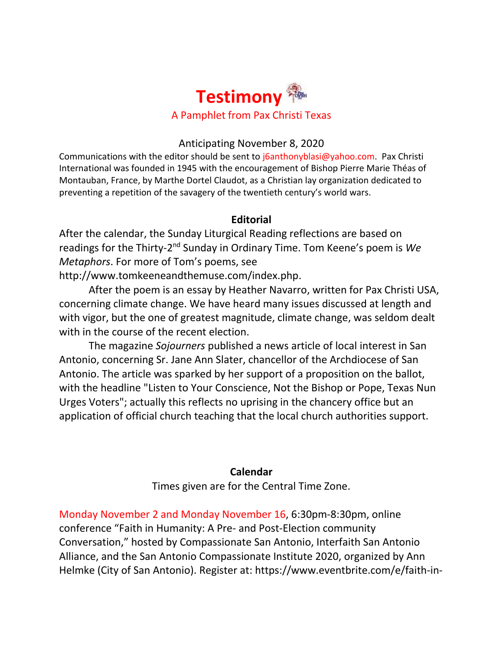

# Anticipating November 8, 2020

Communications with the editor should be sent to [j6anthonyblasi@yahoo.com.](mailto:j6anthonyblasi@yahoo.com) Pax Christi International was founded in 1945 with the encouragement of Bishop Pierre Marie Théas of Montauban, France, by Marthe Dortel Claudot, as a Christian lay organization dedicated to preventing a repetition of the savagery of the twentieth century's world wars.

#### **Editorial**

After the calendar, the Sunday Liturgical Reading reflections are based on readings for the Thirty-2<sup>nd</sup> Sunday in Ordinary Time. Tom Keene's poem is We *Metaphors*. For more of Tom's poems, see

[http://www.tomkeeneandthemuse.com/index.php.](http://www.tomkeeneandthemuse.com/index.php)

After the poem is an essay by Heather Navarro, written for Pax Christi USA, concerning climate change. We have heard many issues discussed at length and with vigor, but the one of greatest magnitude, climate change, was seldom dealt with in the course of the recent election.

The magazine *Sojourners* published a news article of local interest in San Antonio, concerning Sr. Jane Ann Slater, chancellor of the Archdiocese of San Antonio. The article was sparked by her support of a proposition on the ballot, with the headline "Listen to Your Conscience, Not the Bishop or Pope, Texas Nun Urges Voters"; actually this reflects no uprising in the chancery office but an application of official church teaching that the local church authorities support.

#### **Calendar**

Times given are for the Central Time Zone.

Monday November 2 and Monday November 16, 6:30pm-8:30pm, online conference "Faith in Humanity: A Pre- and Post-Election community Conversation," hosted by Compassionate San Antonio, Interfaith San Antonio Alliance, and the San Antonio Compassionate Institute 2020, organized by Ann Helmke (City of San Antonio). Register at: [https://www.eventbrite.com/e/faith-in-](https://www.eventbrite.com/e/faith-in-humanity-a-pre-and-post-election-community-conversation-tickets-125265347025)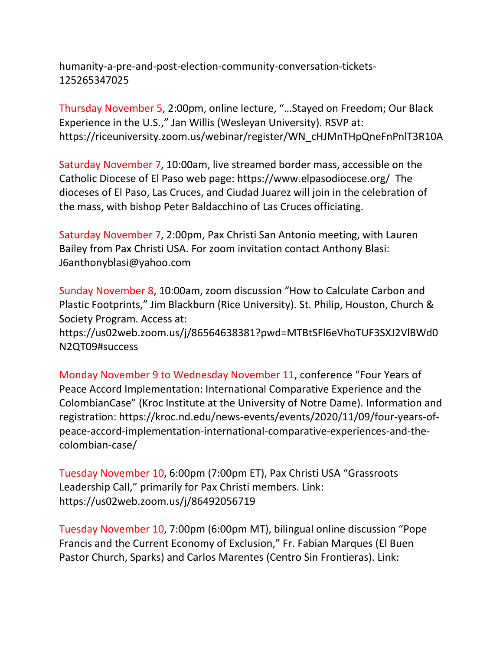[humanity-a-pre-and-post-election-community-conversation-tickets-](https://www.eventbrite.com/e/faith-in-humanity-a-pre-and-post-election-community-conversation-tickets-125265347025)[125265347025](https://www.eventbrite.com/e/faith-in-humanity-a-pre-and-post-election-community-conversation-tickets-125265347025)

Thursday November 5, 2:00pm, online lecture, "…Stayed on Freedom; Our Black Experience in the U.S.," Jan Willis (Wesleyan University). RSVP at: [https://riceuniversity.zoom.us/webinar/register/WN\\_cHJMnTHpQneFnPnlT3R10A](https://riceuniversity.zoom.us/webinar/register/WN_cHJMnTHpQneFnPnlT3R10A)

Saturday November 7, 10:00am, live streamed border mass, accessible on the Catholic Diocese of El Paso web page:<https://www.elpasodiocese.org/> The dioceses of El Paso, Las Cruces, and Ciudad Juarez will join in the celebration of the mass, with bishop Peter Baldacchino of Las Cruces officiating.

Saturday November 7, 2:00pm, Pax Christi San Antonio meeting, with Lauren Bailey from Pax Christi USA. For zoom invitation contact Anthony Blasi: [J6anthonyblasi@yahoo.com](mailto:J6anthonyblasi@yahoo.com)

Sunday November 8, 10:00am, zoom discussion "How to Calculate Carbon and Plastic Footprints," Jim Blackburn (Rice University). St. Philip, Houston, Church & Society Program. Access at:

[https://us02web.zoom.us/j/86564638381?pwd=MTBtSFl6eVhoTUF3SXJ2VlBWd0](https://us02web.zoom.us/j/86564638381?pwd=MTBtSFl6eVhoTUF3SXJ2VlBWd0N2QT09#success) [N2QT09#success](https://us02web.zoom.us/j/86564638381?pwd=MTBtSFl6eVhoTUF3SXJ2VlBWd0N2QT09#success)

Monday November 9 to Wednesday November 11, conference "Four Years of Peace Accord Implementation: International Comparative Experience and the ColombianCase" (Kroc Institute at the University of Notre Dame). Information and registration: [https://kroc.nd.edu/news-events/events/2020/11/09/four-years-of](https://kroc.nd.edu/news-events/events/2020/11/09/four-years-of-peace-accord-implementation-international-comparative-experiences-and-the-colombian-case/)[peace-accord-implementation-international-comparative-experiences-and-the](https://kroc.nd.edu/news-events/events/2020/11/09/four-years-of-peace-accord-implementation-international-comparative-experiences-and-the-colombian-case/)[colombian-case/](https://kroc.nd.edu/news-events/events/2020/11/09/four-years-of-peace-accord-implementation-international-comparative-experiences-and-the-colombian-case/)

Tuesday November 10, 6:00pm (7:00pm ET), Pax Christi USA "Grassroots Leadership Call," primarily for Pax Christi members. Link: <https://us02web.zoom.us/j/86492056719>

Tuesday November 10, 7:00pm (6:00pm MT), bilingual online discussion "Pope Francis and the Current Economy of Exclusion," Fr. Fabian Marques (El Buen Pastor Church, Sparks) and Carlos Marentes (Centro Sin Frontieras). Link: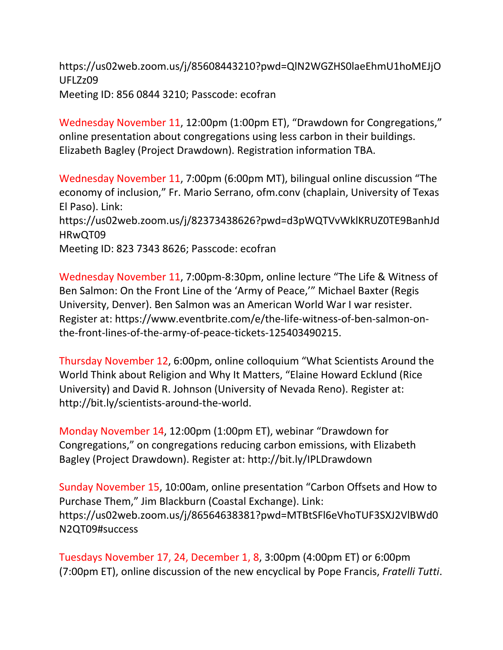[https://us02web.zoom.us/j/85608443210?pwd=QlN2WGZHS0laeEhmU1hoMEJjO](https://us02web.zoom.us/j/85608443210?pwd=QlN2WGZHS0laeEhmU1hoMEJjOUFLZz09) [UFLZz09](https://us02web.zoom.us/j/85608443210?pwd=QlN2WGZHS0laeEhmU1hoMEJjOUFLZz09) Meeting ID: 856 0844 3210; Passcode: ecofran

Wednesday November 11, 12:00pm (1:00pm ET), "Drawdown for Congregations," online presentation about congregations using less carbon in their buildings. Elizabeth Bagley (Project Drawdown). Registration information TBA.

Wednesday November 11, 7:00pm (6:00pm MT), bilingual online discussion "The economy of inclusion," Fr. Mario Serrano, ofm.conv (chaplain, University of Texas El Paso). Link: [https://us02web.zoom.us/j/82373438626?pwd=d3pWQTVvWklKRUZ0TE9BanhJd](https://us02web.zoom.us/j/82373438626?pwd=d3pWQTVvWklKRUZ0TE9BanhJdHRwQT09) [HRwQT09](https://us02web.zoom.us/j/82373438626?pwd=d3pWQTVvWklKRUZ0TE9BanhJdHRwQT09) Meeting ID: 823 7343 8626; Passcode: ecofran

Wednesday November 11, 7:00pm-8:30pm, online lecture "The Life & Witness of Ben Salmon: On the Front Line of the 'Army of Peace,'" Michael Baxter (Regis University, Denver). Ben Salmon was an American World War I war resister. Register at: [https://www.eventbrite.com/e/the-life-witness-of-ben-salmon-on](https://www.eventbrite.com/e/the-life-witness-of-ben-salmon-on-the-front-lines-of-the-army-of-peace-tickets-125403490215)[the-front-lines-of-the-army-of-peace-tickets-125403490215.](https://www.eventbrite.com/e/the-life-witness-of-ben-salmon-on-the-front-lines-of-the-army-of-peace-tickets-125403490215)

Thursday November 12, 6:00pm, online colloquium "What Scientists Around the World Think about Religion and Why It Matters, "Elaine Howard Ecklund (Rice University) and David R. Johnson (University of Nevada Reno). Register at: [http://bit.ly/scientists-around-the-world.](http://bit.ly/scientists-around-the-world)

Monday November 14, 12:00pm (1:00pm ET), webinar "Drawdown for Congregations," on congregations reducing carbon emissions, with Elizabeth Bagley (Project Drawdown). Register at:<http://bit.ly/IPLDrawdown>

Sunday November 15, 10:00am, online presentation "Carbon Offsets and How to Purchase Them," Jim Blackburn (Coastal Exchange). Link: [https://us02web.zoom.us/j/86564638381?pwd=MTBtSFl6eVhoTUF3SXJ2VlBWd0](https://us02web.zoom.us/j/86564638381?pwd=MTBtSFl6eVhoTUF3SXJ2VlBWd0N2QT09#success) [N2QT09#success](https://us02web.zoom.us/j/86564638381?pwd=MTBtSFl6eVhoTUF3SXJ2VlBWd0N2QT09#success)

Tuesdays November 17, 24, December 1, 8, 3:00pm (4:00pm ET) or 6:00pm (7:00pm ET), online discussion of the new encyclical by Pope Francis, *Fratelli Tutti*.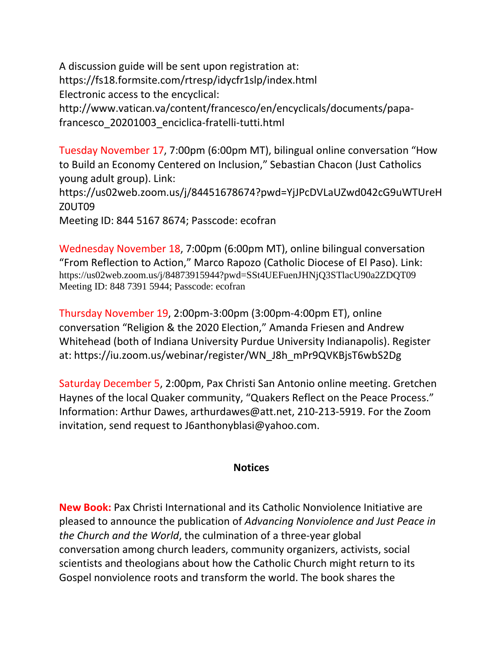A discussion guide will be sent upon registration at: <https://fs18.formsite.com/rtresp/idycfr1slp/index.html> Electronic access to the encyclical: [http://www.vatican.va/content/francesco/en/encyclicals/documents/papa-](http://www.vatican.va/content/francesco/en/encyclicals/documents/papa-francesco_20201003_enciclica-fratelli-tutti.html)

[francesco\\_20201003\\_enciclica-fratelli-tutti.html](http://www.vatican.va/content/francesco/en/encyclicals/documents/papa-francesco_20201003_enciclica-fratelli-tutti.html)

Tuesday November 17, 7:00pm (6:00pm MT), bilingual online conversation "How to Build an Economy Centered on Inclusion," Sebastian Chacon (Just Catholics young adult group). Link:

[https://us02web.zoom.us/j/84451678674?pwd=YjJPcDVLaUZwd042cG9uWTUreH](https://us02web.zoom.us/j/84451678674?pwd=YjJPcDVLaUZwd042cG9uWTUreHZ0UT09) [Z0UT09](https://us02web.zoom.us/j/84451678674?pwd=YjJPcDVLaUZwd042cG9uWTUreHZ0UT09) 

Meeting ID: 844 5167 8674; Passcode: ecofran

Wednesday November 18, 7:00pm (6:00pm MT), online bilingual conversation "From Reflection to Action," Marco Rapozo (Catholic Diocese of El Paso). Link: <https://us02web.zoom.us/j/84873915944?pwd=SSt4UEFuenJHNjQ3STlacU90a2ZDQT09> Meeting ID: 848 7391 5944; Passcode: ecofran

Thursday November 19, 2:00pm-3:00pm (3:00pm-4:00pm ET), online conversation "Religion & the 2020 Election," Amanda Friesen and Andrew Whitehead (both of Indiana University Purdue University Indianapolis). Register at: [https://iu.zoom.us/webinar/register/WN\\_J8h\\_mPr9QVKBjsT6wbS2Dg](https://iu.zoom.us/webinar/register/WN_J8h_mPr9QVKBjsT6wbS2Dg)

Saturday December 5, 2:00pm, Pax Christi San Antonio online meeting. Gretchen Haynes of the local Quaker community, "Quakers Reflect on the Peace Process." Information: Arthur Dawes, [arthurdawes@att.net,](mailto:arthurdawes@att.net) 210-213-5919. For the Zoom invitation, send request to [J6anthonyblasi@yahoo.com.](mailto:J6anthonyblasi@yahoo.com)

# **Notices**

**New Book:** [Pax Christi International](http://r20.rs6.net/tn.jsp?f=001bSqlaacjMkwr8yesvZthBtgEBQnkAf9OLmU8Zz7RiPDsgZdk53LYS4oPAObqgzJloJoXWUbL1AX3FCpS4Y7cIua8qiy1uieWbeOYz7SlmquKE-5QD2b0oM3n8sXz0dafrp0VqbkdQcrCyer4OyYvdA==&c=T6lAWpQT-CKiF7lQOltIqs29xNbf--f9f1wAVhJP0r6kZfoiLhy51Q==&ch=UETqqtSoYnMAk3Z6R26DvNzG3skzZR1q8830HNy6fT_0dI9SneRg_g==) and its [Catholic Nonviolence Initiative](http://r20.rs6.net/tn.jsp?f=001bSqlaacjMkwr8yesvZthBtgEBQnkAf9OLmU8Zz7RiPDsgZdk53LYS2iAs9Pk34NLKnTyqyAHC7pHNYKxEs0evyEL1i4qeBH3t73obMqlOIGZnPVpXgAxaTCWIoDSJKUDO41LPcpfEdHzXMZ2torO4-N3mBVX8hPp&c=T6lAWpQT-CKiF7lQOltIqs29xNbf--f9f1wAVhJP0r6kZfoiLhy51Q==&ch=UETqqtSoYnMAk3Z6R26DvNzG3skzZR1q8830HNy6fT_0dI9SneRg_g==) are pleased to announce the publication of *[Advancing Nonviolence and Just Peace](http://r20.rs6.net/tn.jsp?f=001bSqlaacjMkwr8yesvZthBtgEBQnkAf9OLmU8Zz7RiPDsgZdk53LYS1XWQXCmlI2vBJe-nH1h_R_qswUoNFmyqCe8JHkc_7fCO0zrRsUkJhuDKGyagmluCqOen_mbwLS55gtDmdmlXI2wjrO1P4rO70rshpTDsYjW8fzL9JFEB-IoIThasB7_Cq3K2dK4y6NOoWaCNdK3Bw2fNZVxgBuRiR81B3yG2wnj&c=T6lAWpQT-CKiF7lQOltIqs29xNbf--f9f1wAVhJP0r6kZfoiLhy51Q==&ch=UETqqtSoYnMAk3Z6R26DvNzG3skzZR1q8830HNy6fT_0dI9SneRg_g==) in [the Church and the World](http://r20.rs6.net/tn.jsp?f=001bSqlaacjMkwr8yesvZthBtgEBQnkAf9OLmU8Zz7RiPDsgZdk53LYS1XWQXCmlI2vBJe-nH1h_R_qswUoNFmyqCe8JHkc_7fCO0zrRsUkJhuDKGyagmluCqOen_mbwLS55gtDmdmlXI2wjrO1P4rO70rshpTDsYjW8fzL9JFEB-IoIThasB7_Cq3K2dK4y6NOoWaCNdK3Bw2fNZVxgBuRiR81B3yG2wnj&c=T6lAWpQT-CKiF7lQOltIqs29xNbf--f9f1wAVhJP0r6kZfoiLhy51Q==&ch=UETqqtSoYnMAk3Z6R26DvNzG3skzZR1q8830HNy6fT_0dI9SneRg_g==)*, the culmination of a [three-year global](http://r20.rs6.net/tn.jsp?f=001bSqlaacjMkwr8yesvZthBtgEBQnkAf9OLmU8Zz7RiPDsgZdk53LYSxcm53K6cxviNut1JE75rG2NyxbvxuYm7Z0O45O8rALlzRAImyQgEahYphH0WN4hza2RWOOGYiDoY1-_VcMuAZc2Wow6olJzKTz44o3K1PwOTbFyqw95vV1ObL07YxNACNWDr-cRxxf60lE5oxgvpaRDh3EX2DKukA==&c=T6lAWpQT-CKiF7lQOltIqs29xNbf--f9f1wAVhJP0r6kZfoiLhy51Q==&ch=UETqqtSoYnMAk3Z6R26DvNzG3skzZR1q8830HNy6fT_0dI9SneRg_g==)  [conversation](http://r20.rs6.net/tn.jsp?f=001bSqlaacjMkwr8yesvZthBtgEBQnkAf9OLmU8Zz7RiPDsgZdk53LYSxcm53K6cxviNut1JE75rG2NyxbvxuYm7Z0O45O8rALlzRAImyQgEahYphH0WN4hza2RWOOGYiDoY1-_VcMuAZc2Wow6olJzKTz44o3K1PwOTbFyqw95vV1ObL07YxNACNWDr-cRxxf60lE5oxgvpaRDh3EX2DKukA==&c=T6lAWpQT-CKiF7lQOltIqs29xNbf--f9f1wAVhJP0r6kZfoiLhy51Q==&ch=UETqqtSoYnMAk3Z6R26DvNzG3skzZR1q8830HNy6fT_0dI9SneRg_g==) among church leaders, community organizers, activists, social scientists and theologians about how the Catholic Church might return to its Gospel nonviolence roots and transform the world. The book shares the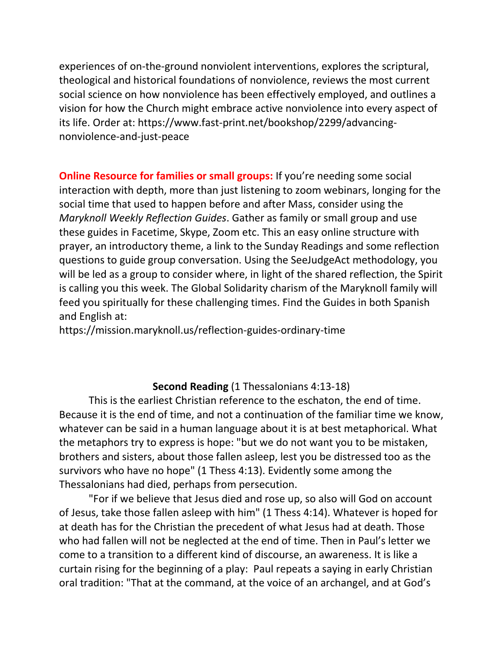experiences of on-the-ground nonviolent interventions, explores the scriptural, theological and historical foundations of nonviolence, reviews the most current social science on how nonviolence has been effectively employed, and outlines a vision for how the Church might embrace active nonviolence into every aspect of its life. Order at: [https://www.fast-print.net/bookshop/2299/advancing](https://www.fast-print.net/bookshop/2299/advancing-nonviolence-and-just-peace)[nonviolence-and-just-peace](https://www.fast-print.net/bookshop/2299/advancing-nonviolence-and-just-peace)

**Online Resource for families or small groups:** If you're needing some social interaction with depth, more than just listening to zoom webinars, longing for the social time that used to happen before and after Mass, consider using the *Maryknoll Weekly Reflection Guides*. Gather as family or small group and use these guides in Facetime, Skype, Zoom etc. This an easy online structure with prayer, an introductory theme, a link to the Sunday Readings and some reflection questions to guide group conversation. Using the SeeJudgeAct methodology, you will be led as a group to consider where, in light of the shared reflection, the Spirit is calling you this week. The Global Solidarity charism of the Maryknoll family will feed you spiritually for these challenging times. Find the Guides in both Spanish and English at:

<https://mission.maryknoll.us/reflection-guides-ordinary-time>

# **Second Reading** (1 Thessalonians 4:13-18)

This is the earliest Christian reference to the eschaton, the end of time. Because it is the end of time, and not a continuation of the familiar time we know, whatever can be said in a human language about it is at best metaphorical. What the metaphors try to express is hope: "but we do not want you to be mistaken, brothers and sisters, about those fallen asleep, lest you be distressed too as the survivors who have no hope" (1 Thess 4:13). Evidently some among the Thessalonians had died, perhaps from persecution.

"For if we believe that Jesus died and rose up, so also will God on account of Jesus, take those fallen asleep with him" (1 Thess 4:14). Whatever is hoped for at death has for the Christian the precedent of what Jesus had at death. Those who had fallen will not be neglected at the end of time. Then in Paul's letter we come to a transition to a different kind of discourse, an awareness. It is like a curtain rising for the beginning of a play: Paul repeats a saying in early Christian oral tradition: "That at the command, at the voice of an archangel, and at God's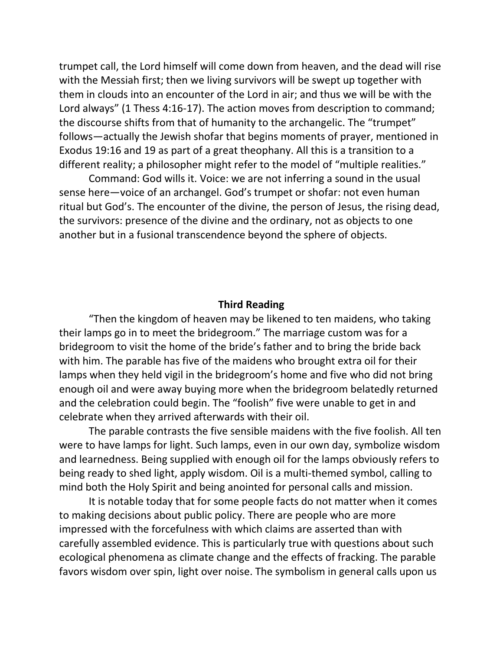trumpet call, the Lord himself will come down from heaven, and the dead will rise with the Messiah first; then we living survivors will be swept up together with them in clouds into an encounter of the Lord in air; and thus we will be with the Lord always" (1 Thess 4:16-17). The action moves from description to command; the discourse shifts from that of humanity to the archangelic. The "trumpet" follows—actually the Jewish shofar that begins moments of prayer, mentioned in Exodus 19:16 and 19 as part of a great theophany. All this is a transition to a different reality; a philosopher might refer to the model of "multiple realities."

Command: God wills it. Voice: we are not inferring a sound in the usual sense here—voice of an archangel. God's trumpet or shofar: not even human ritual but God's. The encounter of the divine, the person of Jesus, the rising dead, the survivors: presence of the divine and the ordinary, not as objects to one another but in a fusional transcendence beyond the sphere of objects.

#### **Third Reading**

"Then the kingdom of heaven may be likened to ten maidens, who taking their lamps go in to meet the bridegroom." The marriage custom was for a bridegroom to visit the home of the bride's father and to bring the bride back with him. The parable has five of the maidens who brought extra oil for their lamps when they held vigil in the bridegroom's home and five who did not bring enough oil and were away buying more when the bridegroom belatedly returned and the celebration could begin. The "foolish" five were unable to get in and celebrate when they arrived afterwards with their oil.

The parable contrasts the five sensible maidens with the five foolish. All ten were to have lamps for light. Such lamps, even in our own day, symbolize wisdom and learnedness. Being supplied with enough oil for the lamps obviously refers to being ready to shed light, apply wisdom. Oil is a multi-themed symbol, calling to mind both the Holy Spirit and being anointed for personal calls and mission.

It is notable today that for some people facts do not matter when it comes to making decisions about public policy. There are people who are more impressed with the forcefulness with which claims are asserted than with carefully assembled evidence. This is particularly true with questions about such ecological phenomena as climate change and the effects of fracking. The parable favors wisdom over spin, light over noise. The symbolism in general calls upon us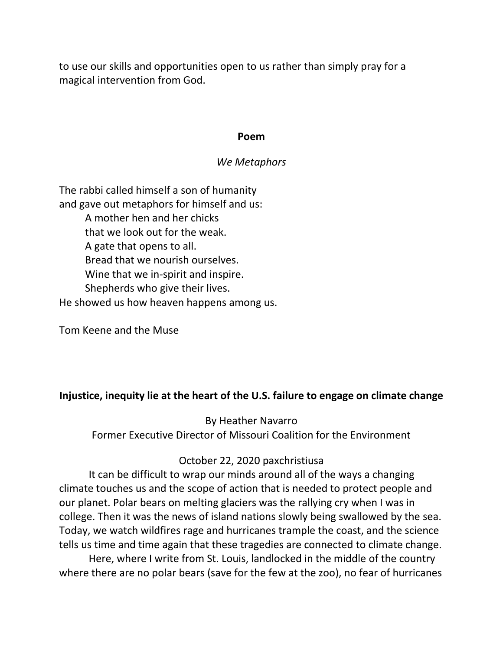to use our skills and opportunities open to us rather than simply pray for a magical intervention from God.

#### **Poem**

### *We Metaphors*

The rabbi called himself a son of humanity and gave out metaphors for himself and us: A mother hen and her chicks that we look out for the weak. A gate that opens to all. Bread that we nourish ourselves. Wine that we in-spirit and inspire. Shepherds who give their lives. He showed us how heaven happens among us.

Tom Keene and the Muse

# **Injustice, inequity lie at the heart of the U.S. failure to engage on climate change**

By Heather Navarro Former Executive Director of Missouri Coalition for the Environment

# [October 22, 2020](https://paxchristiusa.org/2020/10/22/injustice-inequity-lie-at-the-heart-of-the-u-s-failure-to-engage-on-climate-change/) [paxchristiusa](https://paxchristiusa.org/author/paxchristiusa/)

It can be difficult to wrap our minds around all of the ways a changing climate touches us and the scope of action that is needed to protect people and our planet. Polar bears on melting glaciers was the rallying cry when I was in college. Then it was the news of island nations slowly being swallowed by the sea. Today, we watch wildfires rage and hurricanes trample the coast, and the science tells us time and time again that these tragedies are connected to climate change.

Here, where I write from St. Louis, landlocked in the middle of the country where there are no polar bears (save for the few at the zoo), no fear of hurricanes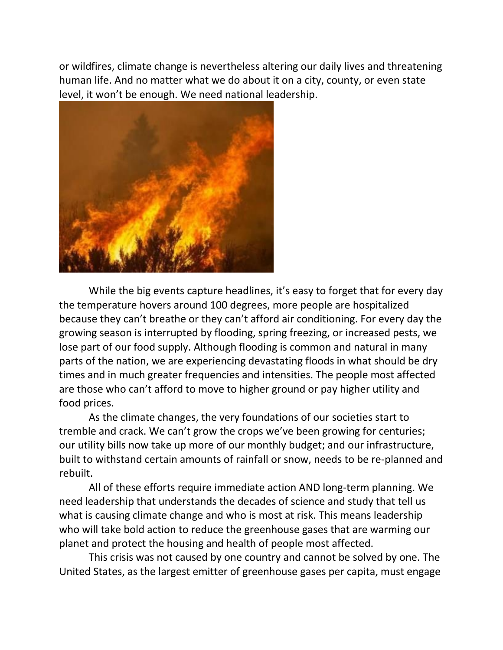or wildfires, climate change is nevertheless altering our daily lives and threatening human life. And no matter what we do about it on a city, county, or even state level, it won't be enough. We need national leadership.



While the big events capture headlines, it's easy to forget that for every day the temperature hovers around 100 degrees, more people are hospitalized because they can't breathe or they can't afford air conditioning. For every day the growing season is interrupted by flooding, spring freezing, or increased pests, we lose part of our food supply. Although flooding is common and natural in many parts of the nation, we are experiencing devastating floods in what should be dry times and in much greater frequencies and intensities. The people most affected are those who can't afford to move to higher ground or pay higher utility and food prices.

As the climate changes, the very foundations of our societies start to tremble and crack. We can't grow the crops we've been growing for centuries; our utility bills now take up more of our monthly budget; and our infrastructure, built to withstand certain amounts of rainfall or snow, needs to be re-planned and rebuilt.

All of these efforts require immediate action AND long-term planning. We need leadership that understands the decades of science and study that tell us what is causing climate change and who is most at risk. This means leadership who will take bold action to reduce the greenhouse gases that are warming our planet and protect the housing and health of people most affected.

This crisis was not caused by one country and cannot be solved by one. The United States, as the largest emitter of greenhouse gases per capita, must engage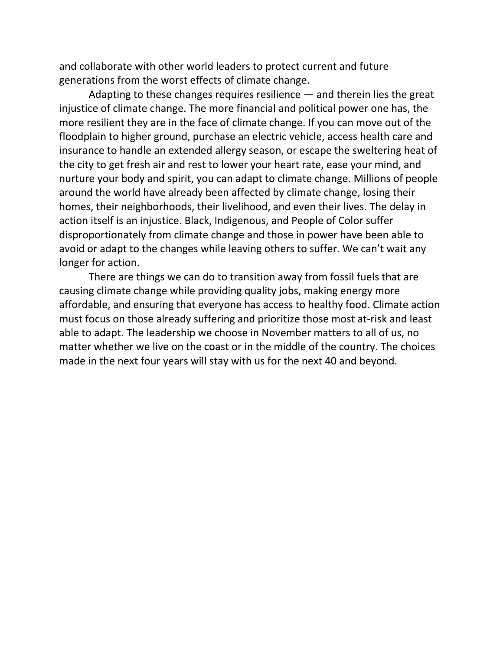and collaborate with other world leaders to protect current and future generations from the worst effects of climate change.

Adapting to these changes requires resilience — and therein lies the great injustice of climate change. The more financial and political power one has, the more resilient they are in the face of climate change. If you can move out of the floodplain to higher ground, purchase an electric vehicle, access health care and insurance to handle an extended allergy season, or escape the sweltering heat of the city to get fresh air and rest to lower your heart rate, ease your mind, and nurture your body and spirit, you can adapt to climate change. Millions of people around the world have already been affected by climate change, losing their homes, their neighborhoods, their livelihood, and even their lives. The delay in action itself is an injustice. Black, Indigenous, and People of Color suffer disproportionately from climate change and those in power have been able to avoid or adapt to the changes while leaving others to suffer. We can't wait any longer for action.

There are things we can do to transition away from fossil fuels that are causing climate change while providing quality jobs, making energy more affordable, and ensuring that everyone has access to healthy food. Climate action must focus on those already suffering and prioritize those most at-risk and least able to adapt. The leadership we choose in November matters to all of us, no matter whether we live on the coast or in the middle of the country. The choices made in the next four years will stay with us for the next 40 and beyond.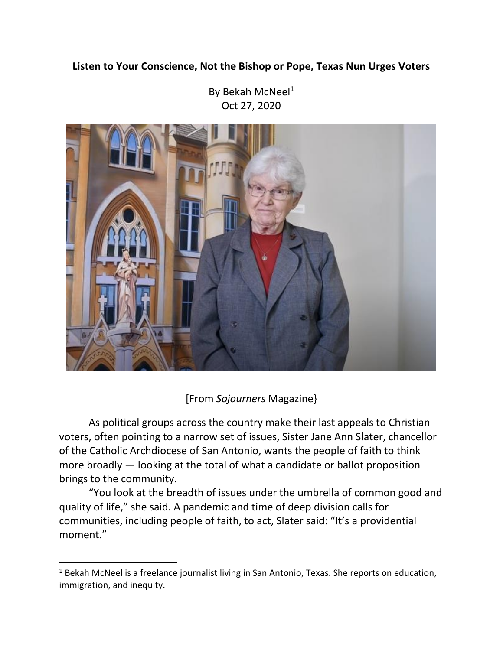# **Listen to Your Conscience, Not the Bishop or Pope, Texas Nun Urges Voters**

By [Bekah McNeel](https://sojo.net/biography/bekah-mcneel)<sup>1</sup> Oct 27, 2020



[From *Sojourners* Magazine}

As political groups across the country make their last appeals to Christian voters, often pointing to a narrow set of issues, Sister Jane Ann Slater, chancellor of the Catholic Archdiocese of San Antonio, wants the people of faith to think more broadly — looking at the total of what a candidate or ballot proposition brings to the community.

"You look at the breadth of issues under the umbrella of common good and quality of life," she said. A pandemic and time of deep division calls for communities, including people of faith, to act, Slater said: "It's a providential moment."

 $\overline{a}$ 

 $1$  Bekah McNeel is a freelance journalist living in San Antonio, Texas. She reports on education, immigration, and inequity.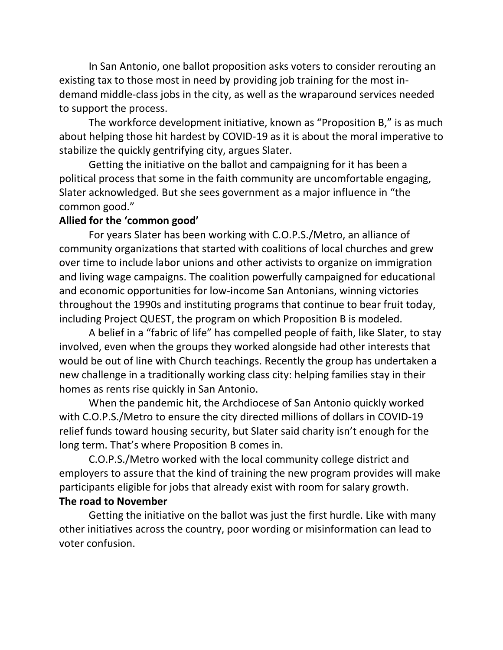In San Antonio, one ballot proposition asks voters to consider rerouting an existing tax to those most in need by providing job training for the most indemand middle-class jobs in the city, as well as the wraparound services needed to support the process.

The workforce development initiative, known as "Proposition B," is as much about helping those hit hardest by COVID-19 as it is about the moral imperative to stabilize the quickly gentrifying city, argues Slater.

Getting the initiative on the ballot and campaigning for it has been a political process that some in the faith community are uncomfortable engaging, Slater acknowledged. But she sees government as a major influence in "the common good."

### **Allied for the 'common good'**

For years Slater has been working with C.O.P.S./Metro, an alliance of community organizations that started with coalitions of local churches and grew over time to include labor unions and other activists to organize on immigration and living wage campaigns. The coalition powerfully campaigned for educational and economic opportunities for low-income San Antonians, winning victories throughout the 1990s and instituting programs that continue to bear fruit today, including Project QUEST, the program on which Proposition B is modeled.

A belief in a "fabric of life" has compelled people of faith, like Slater, to stay involved, even when the groups they worked alongside had other interests that would be out of line with Church teachings. Recently the group has undertaken a new challenge in a traditionally working class city: helping families stay in their homes as rents rise quickly in San Antonio.

When the pandemic hit, the Archdiocese of San Antonio quickly worked with C.O.P.S./Metro to ensure the city directed millions of dollars in COVID-19 relief funds toward housing security, but Slater said charity isn't enough for the long term. That's where Proposition B comes in.

C.O.P.S./Metro worked with the local community college district and employers to assure that the kind of training the new program provides will make participants eligible for jobs that already exist with room for salary growth. **The road to November**

Getting the initiative on the ballot was just the first hurdle. Like with many other initiatives across the country, poor wording or misinformation can lead to voter confusion.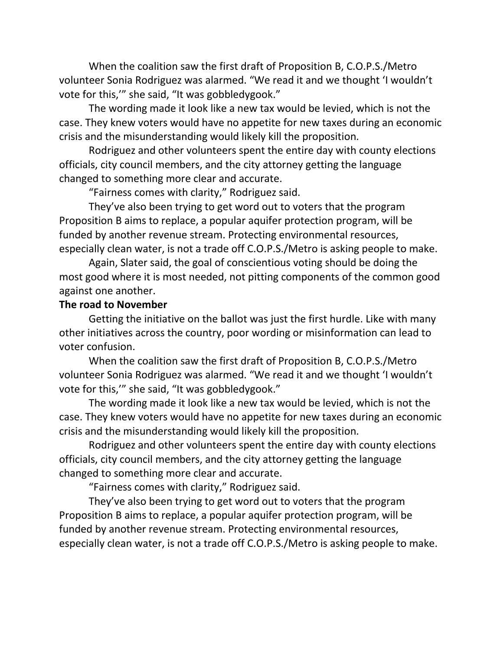When the coalition saw the first draft of Proposition B, C.O.P.S./Metro volunteer Sonia Rodriguez was alarmed. "We read it and we thought 'I wouldn't vote for this,'" she said, "It was gobbledygook."

The wording made it look like a new tax would be levied, which is not the case. They knew voters would have no appetite for new taxes during an economic crisis and the misunderstanding would likely kill the proposition.

Rodriguez and other volunteers spent the entire day with county elections officials, city council members, and the city attorney getting the language changed to something more clear and accurate.

"Fairness comes with clarity," Rodriguez said.

They've also been trying to get word out to voters that the program Proposition B aims to replace, a popular aquifer protection program, will be funded by another revenue stream. Protecting environmental resources, especially clean water, is not a trade off C.O.P.S./Metro is asking people to make.

Again, Slater said, the goal of conscientious voting should be doing the most good where it is most needed, not pitting components of the common good against one another.

#### **The road to November**

Getting the initiative on the ballot was just the first hurdle. Like with many other initiatives across the country, poor wording or misinformation can lead to voter confusion.

When the coalition saw the first draft of Proposition B, C.O.P.S./Metro volunteer Sonia Rodriguez was alarmed. "We read it and we thought 'I wouldn't vote for this,'" she said, "It was gobbledygook."

The wording made it look like a new tax would be levied, which is not the case. They knew voters would have no appetite for new taxes during an economic crisis and the misunderstanding would likely kill the proposition.

Rodriguez and other volunteers spent the entire day with county elections officials, city council members, and the city attorney getting the language changed to something more clear and accurate.

"Fairness comes with clarity," Rodriguez said.

They've also been trying to get word out to voters that the program Proposition B aims to replace, a popular aquifer protection program, will be funded by another revenue stream. Protecting environmental resources, especially clean water, is not a trade off C.O.P.S./Metro is asking people to make.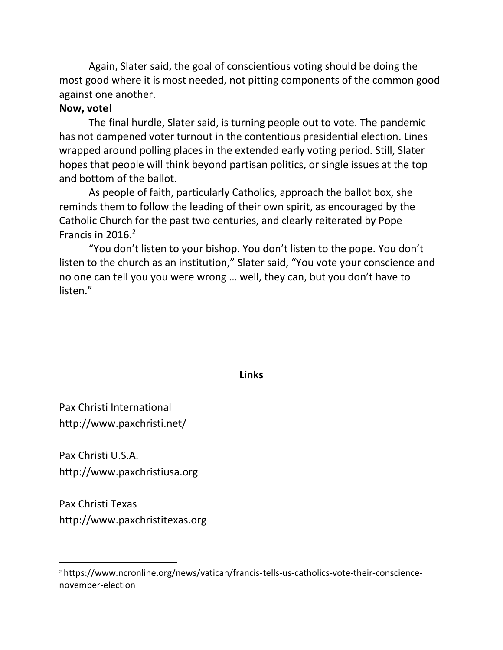Again, Slater said, the goal of conscientious voting should be doing the most good where it is most needed, not pitting components of the common good against one another.

#### **Now, vote!**

The final hurdle, Slater said, is turning people out to vote. The pandemic has not dampened voter turnout in the contentious presidential election. Lines wrapped around polling places in the extended early voting period. Still, Slater hopes that people will think beyond partisan politics, or single issues at the top and bottom of the ballot.

As people of faith, particularly Catholics, approach the ballot box, she reminds them to follow the leading of their own spirit, as encouraged by the Catholic Church for the past two centuries, and clearly [reiterated by Pope](https://www.ncronline.org/news/vatican/francis-tells-us-catholics-vote-their-conscience-november-election)  [Francis](https://www.ncronline.org/news/vatican/francis-tells-us-catholics-vote-their-conscience-november-election) in  $2016.<sup>2</sup>$ 

"You don't listen to your bishop. You don't listen to the pope. You don't listen to the church as an institution," Slater said, "You vote your conscience and no one can tell you you were wrong … well, they can, but you don't have to listen."

#### **Links**

Pax Christi International <http://www.paxchristi.net/>

Pax Christi U.S.A. [http://www.paxchristiusa.org](http://www.paxchristiusa.org/)

Pax Christi Texas [http://www.paxchristitexas.org](http://www.paxchristitexas.org/)

 $\overline{a}$ 

<sup>2</sup> https://www.ncronline.org/news/vatican/francis-tells-us-catholics-vote-their-consciencenovember-election